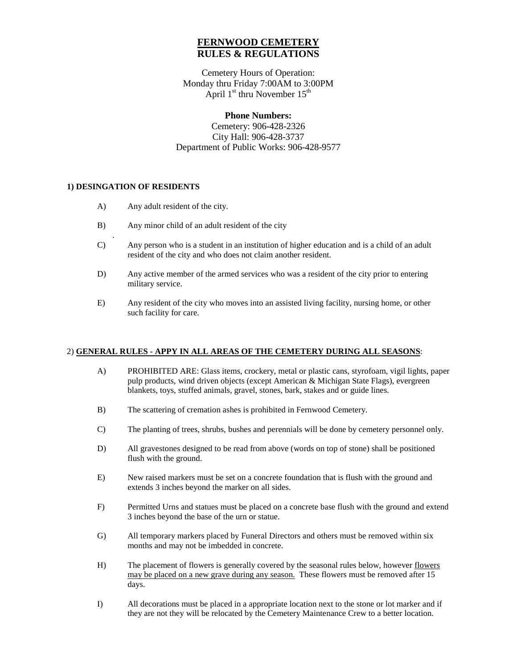# **FERNWOOD CEMETERY RULES & REGULATIONS**

Cemetery Hours of Operation: Monday thru Friday 7:00AM to 3:00PM April  $1<sup>st</sup>$  thru November  $15<sup>th</sup>$ 

# **Phone Numbers:**

Cemetery: 906-428-2326 City Hall: 906-428-3737 Department of Public Works: 906-428-9577

### **1) DESINGATION OF RESIDENTS**

| A)            | Any adult resident of the city.                                                                                                                               |
|---------------|---------------------------------------------------------------------------------------------------------------------------------------------------------------|
| B)            | Any minor child of an adult resident of the city                                                                                                              |
| $\mathcal{C}$ | Any person who is a student in an institution of higher education and is a child of an adult<br>resident of the city and who does not claim another resident. |
| D)            | Any active member of the armed services who was a resident of the city prior to entering<br>military service.                                                 |
| E)            | Any resident of the city who moves into an assisted living facility, nursing home, or other<br>such facility for care.                                        |

### 2) **GENERAL RULES - APPY IN ALL AREAS OF THE CEMETERY DURING ALL SEASONS**:

- A) PROHIBITED ARE: Glass items, crockery, metal or plastic cans, styrofoam, vigil lights, paper pulp products, wind driven objects (except American & Michigan State Flags), evergreen blankets, toys, stuffed animals, gravel, stones, bark, stakes and or guide lines.
- B) The scattering of cremation ashes is prohibited in Fernwood Cemetery.
- C) The planting of trees, shrubs, bushes and perennials will be done by cemetery personnel only.
- D) All gravestones designed to be read from above (words on top of stone) shall be positioned flush with the ground.
- E) New raised markers must be set on a concrete foundation that is flush with the ground and extends 3 inches beyond the marker on all sides.
- F) Permitted Urns and statues must be placed on a concrete base flush with the ground and extend 3 inches beyond the base of the urn or statue.
- G) All temporary markers placed by Funeral Directors and others must be removed within six months and may not be imbedded in concrete.
- H) The placement of flowers is generally covered by the seasonal rules below, however flowers may be placed on a new grave during any season. These flowers must be removed after 15 days.
- I) All decorations must be placed in a appropriate location next to the stone or lot marker and if they are not they will be relocated by the Cemetery Maintenance Crew to a better location.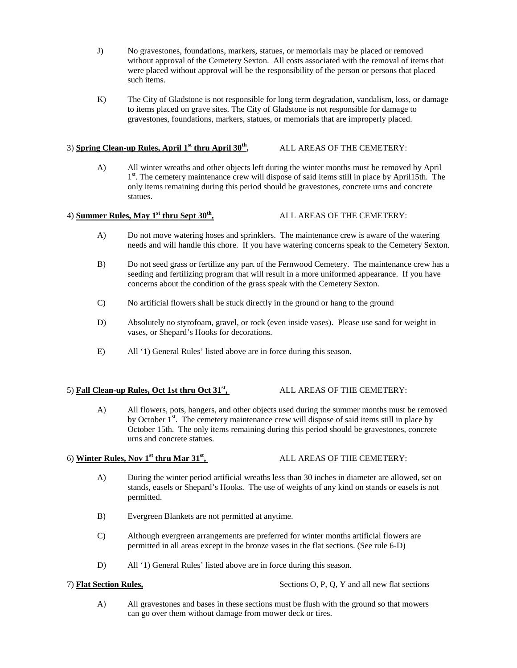- J) No gravestones, foundations, markers, statues, or memorials may be placed or removed without approval of the Cemetery Sexton. All costs associated with the removal of items that were placed without approval will be the responsibility of the person or persons that placed such items.
- K) The City of Gladstone is not responsible for long term degradation, vandalism, loss, or damage to items placed on grave sites. The City of Gladstone is not responsible for damage to gravestones, foundations, markers, statues, or memorials that are improperly placed.

## 3) **Spring Clean-up Rules, April 1st thru April 30th,** ALL AREAS OF THE CEMETERY:

A) All winter wreaths and other objects left during the winter months must be removed by April  $1<sup>st</sup>$ . The cemetery maintenance crew will dispose of said items still in place by April15th. The only items remaining during this period should be gravestones, concrete urns and concrete statues.

### 4) **Summer Rules, May 1st thru Sept 30th,** ALL AREAS OF THE CEMETERY:

- A) Do not move watering hoses and sprinklers. The maintenance crew is aware of the watering needs and will handle this chore. If you have watering concerns speak to the Cemetery Sexton.
- B) Do not seed grass or fertilize any part of the Fernwood Cemetery. The maintenance crew has a seeding and fertilizing program that will result in a more uniformed appearance. If you have concerns about the condition of the grass speak with the Cemetery Sexton.
- C) No artificial flowers shall be stuck directly in the ground or hang to the ground
- D) Absolutely no styrofoam, gravel, or rock (even inside vases). Please use sand for weight in vases, or Shepard's Hooks for decorations.
- E) All '1) General Rules' listed above are in force during this season.

### 5) **Fall Clean-up Rules, Oct 1st thru Oct 31st,** ALL AREAS OF THE CEMETERY:

A) All flowers, pots, hangers, and other objects used during the summer months must be removed by October  $1<sup>st</sup>$ . The cemetery maintenance crew will dispose of said items still in place by October 15th. The only items remaining during this period should be gravestones, concrete urns and concrete statues.

# 6) **Winter Rules, Nov 1st thru Mar 31st,** ALL AREAS OF THE CEMETERY:

- A) During the winter period artificial wreaths less than 30 inches in diameter are allowed, set on stands, easels or Shepard's Hooks. The use of weights of any kind on stands or easels is not permitted.
- B) Evergreen Blankets are not permitted at anytime.
- C) Although evergreen arrangements are preferred for winter months artificial flowers are permitted in all areas except in the bronze vases in the flat sections. (See rule 6-D)
- D) All '1) General Rules' listed above are in force during this season.

7) **Flat Section Rules,** Sections O, P, Q, Y and all new flat sections

A) All gravestones and bases in these sections must be flush with the ground so that mowers can go over them without damage from mower deck or tires.